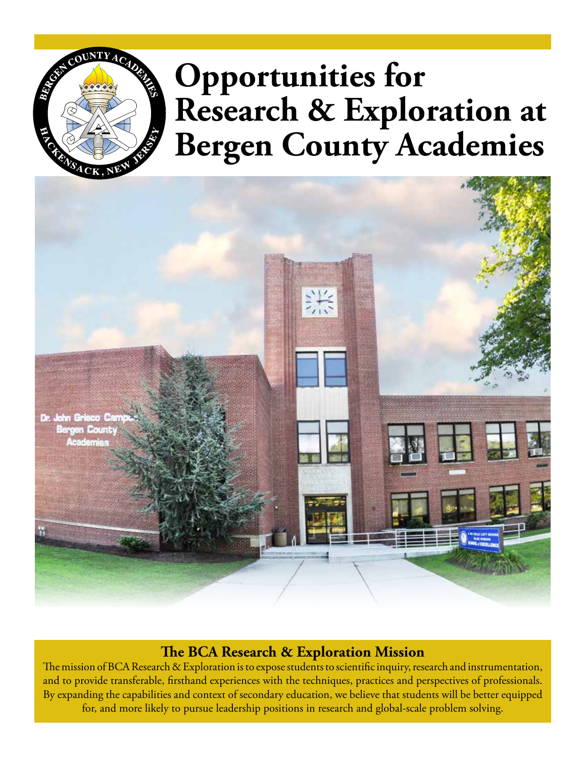# **Opportunities for Research & Exploration at Bergen County Academies**



 $\overline{C}$ OUNTYA $\overline{C}$ 

# **The BCA Research & Exploration Mission**

The mission of BCA Research & Exploration is to expose students to scientific inquiry, research and instrumentation, and to provide transferable, firsthand experiences with the techniques, practices and perspectives of professionals. By expanding the capabilities and context of secondary education, we believe that students will be better equipped for, and more likely to pursue leadership positions in research and global-scale problem solving.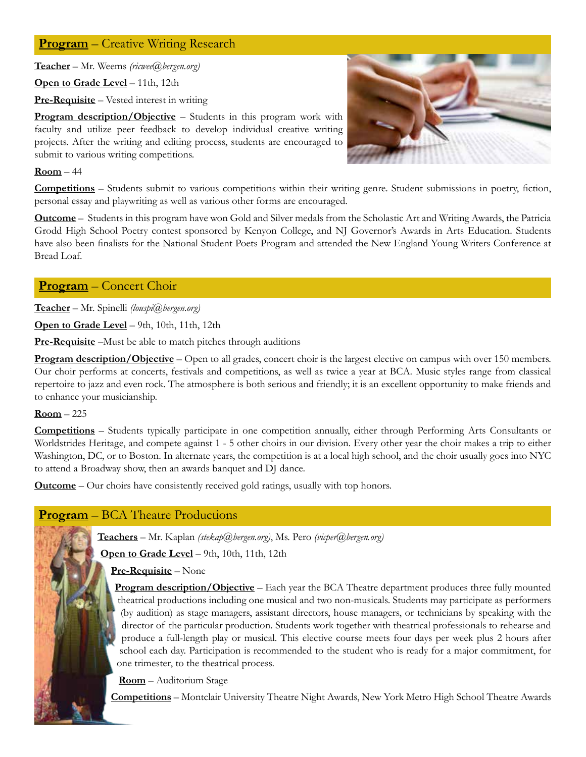## **Program** – Creative Writing Research

**Teacher** – Mr. Weems *(ricwee@bergen.org)*

**Open to Grade Level** – 11th, 12th

**Pre-Requisite** – Vested interest in writing

**Program description/Objective** – Students in this program work with faculty and utilize peer feedback to develop individual creative writing projects. After the writing and editing process, students are encouraged to submit to various writing competitions.

#### **Room** – 44

**Competitions** – Students submit to various competitions within their writing genre. Student submissions in poetry, fiction, personal essay and playwriting as well as various other forms are encouraged.

**Outcome** – Students in this program have won Gold and Silver medals from the Scholastic Art and Writing Awards, the Patricia Grodd High School Poetry contest sponsored by Kenyon College, and NJ Governor's Awards in Arts Education. Students have also been finalists for the National Student Poets Program and attended the New England Young Writers Conference at Bread Loaf.

# **Program** – Concert Choir

**Teacher** – Mr. Spinelli *(louspi@bergen.org)*

**Open to Grade Level** – 9th, 10th, 11th, 12th

**Pre-Requisite** –Must be able to match pitches through auditions

**Program description/Objective** – Open to all grades, concert choir is the largest elective on campus with over 150 members. Our choir performs at concerts, festivals and competitions, as well as twice a year at BCA. Music styles range from classical repertoire to jazz and even rock. The atmosphere is both serious and friendly; it is an excellent opportunity to make friends and to enhance your musicianship.

#### **Room** – 225

**Competitions** – Students typically participate in one competition annually, either through Performing Arts Consultants or Worldstrides Heritage, and compete against 1 - 5 other choirs in our division. Every other year the choir makes a trip to either Washington, DC, or to Boston. In alternate years, the competition is at a local high school, and the choir usually goes into NYC to attend a Broadway show, then an awards banquet and DJ dance.

**Outcome** – Our choirs have consistently received gold ratings, usually with top honors.

# **Program** – BCA Theatre Productions

**Teachers** – Mr. Kaplan *(stekap@bergen.org)*, Ms. Pero *(vicper@bergen.org)*

**Open to Grade Level** – 9th, 10th, 11th, 12th

#### **Pre-Requisite** – None

**Program description/Objective** – Each year the BCA Theatre department produces three fully mounted theatrical productions including one musical and two non-musicals. Students may participate as performers (by audition) as stage managers, assistant directors, house managers, or technicians by speaking with the director of the particular production. Students work together with theatrical professionals to rehearse and produce a full-length play or musical. This elective course meets four days per week plus 2 hours after school each day. Participation is recommended to the student who is ready for a major commitment, for one trimester, to the theatrical process.

**Room** – Auditorium Stage

**Competitions** – Montclair University Theatre Night Awards, New York Metro High School Theatre Awards

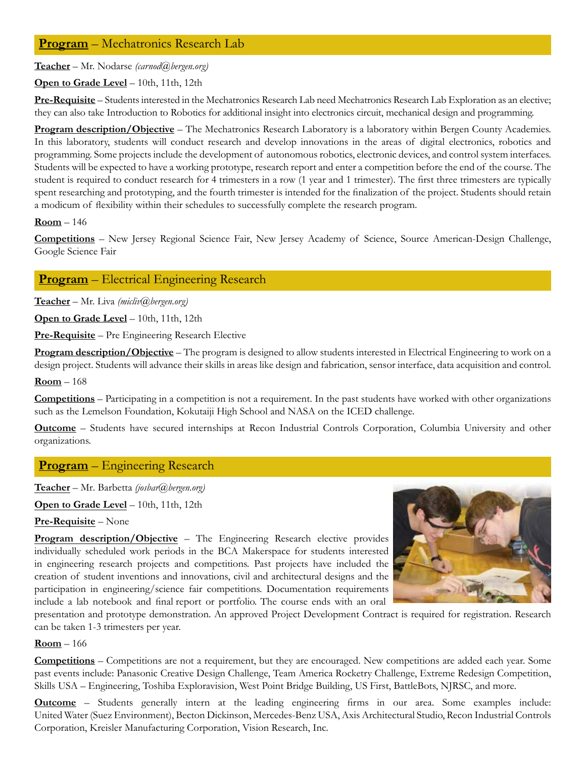## **Program** – Mechatronics Research Lab

**Teacher** – Mr. Nodarse *(carnod@bergen.org)*

#### **Open to Grade Level** – 10th, 11th, 12th

**Pre-Requisite** – Students interested in the Mechatronics Research Lab need Mechatronics Research Lab Exploration as an elective; they can also take Introduction to Robotics for additional insight into electronics circuit, mechanical design and programming.

**Program description/Objective** – The Mechatronics Research Laboratory is a laboratory within Bergen County Academies. In this laboratory, students will conduct research and develop innovations in the areas of digital electronics, robotics and programming. Some projects include the development of autonomous robotics, electronic devices, and control system interfaces. Students will be expected to have a working prototype, research report and enter a competition before the end of the course. The student is required to conduct research for 4 trimesters in a row (1 year and 1 trimester). The first three trimesters are typically spent researching and prototyping, and the fourth trimester is intended for the finalization of the project. Students should retain a modicum of flexibility within their schedules to successfully complete the research program.

**Room** – 146

**Competitions** – New Jersey Regional Science Fair, New Jersey Academy of Science, Source American-Design Challenge, Google Science Fair

## **Program** – Electrical Engineering Research

**Teacher** – Mr. Liva *(micliv@bergen.org)*

**Open to Grade Level** – 10th, 11th, 12th

**Pre-Requisite** – Pre Engineering Research Elective

**Program description/Objective** – The program is designed to allow students interested in Electrical Engineering to work on a design project. Students will advance their skills in areas like design and fabrication, sensor interface, data acquisition and control.

**Room** – 168

**Competitions** – Participating in a competition is not a requirement. In the past students have worked with other organizations such as the Lemelson Foundation, Kokutaiji High School and NASA on the ICED challenge.

**Outcome** – Students have secured internships at Recon Industrial Controls Corporation, Columbia University and other organizations.

## **Program** – Engineering Research

**Teacher** – Mr. Barbetta *(josbar@bergen.org)*

**Open to Grade Level** – 10th, 11th, 12th

**Pre-Requisite** – None

**Program description/Objective** – The Engineering Research elective provides individually scheduled work periods in the BCA Makerspace for students interested in engineering research projects and competitions. Past projects have included the creation of student inventions and innovations, civil and architectural designs and the participation in engineering/science fair competitions. Documentation requirements include a lab notebook and final report or portfolio. The course ends with an oral



presentation and prototype demonstration. An approved Project Development Contract is required for registration. Research can be taken 1-3 trimesters per year.

**Room** – 166

**Competitions** – Competitions are not a requirement, but they are encouraged. New competitions are added each year. Some past events include: Panasonic Creative Design Challenge, Team America Rocketry Challenge, Extreme Redesign Competition, Skills USA – Engineering, Toshiba Exploravision, West Point Bridge Building, US First, BattleBots, NJRSC, and more.

**Outcome** – Students generally intern at the leading engineering firms in our area. Some examples include: United Water (Suez Environment), Becton Dickinson, Mercedes-Benz USA, Axis Architectural Studio, Recon Industrial Controls Corporation, Kreisler Manufacturing Corporation, Vision Research, Inc.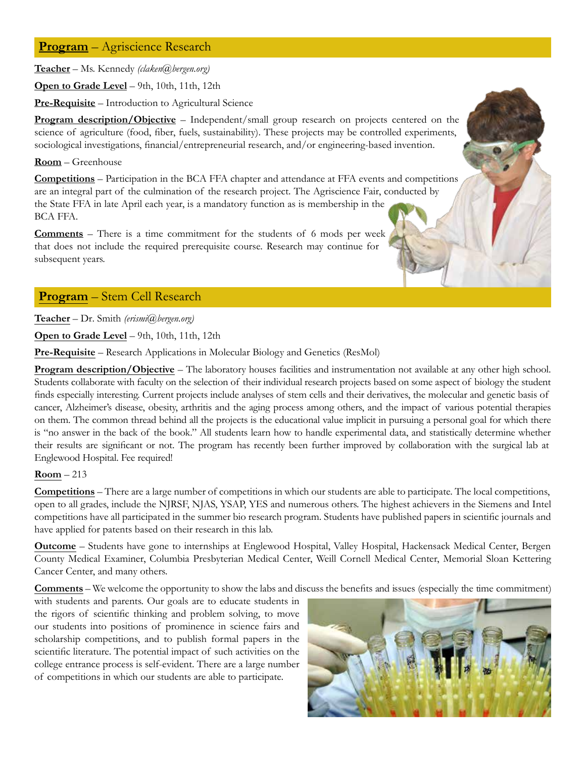## **Program** – Agriscience Research

**Teacher** – Ms. Kennedy *(claken@bergen.org)*

**Open to Grade Level** – 9th, 10th, 11th, 12th

**Pre-Requisite** – Introduction to Agricultural Science

**Program description/Objective** – Independent/small group research on projects centered on the science of agriculture (food, fiber, fuels, sustainability). These projects may be controlled experiments, sociological investigations, financial/entrepreneurial research, and/or engineering-based invention.

#### **Room** – Greenhouse

**Competitions** – Participation in the BCA FFA chapter and attendance at FFA events and competitions are an integral part of the culmination of the research project. The Agriscience Fair, conducted by the State FFA in late April each year, is a mandatory function as is membership in the BCA FFA.

**Comments** – There is a time commitment for the students of 6 mods per week that does not include the required prerequisite course. Research may continue for subsequent years.

# **Program** – Stem Cell Research

**Teacher** – Dr. Smith *(erismi@bergen.org)*

**Open to Grade Level** – 9th, 10th, 11th, 12th

**Pre-Requisite** – Research Applications in Molecular Biology and Genetics (ResMol)

**Program description/Objective** – The laboratory houses facilities and instrumentation not available at any other high school. Students collaborate with faculty on the selection of their individual research projects based on some aspect of biology the student finds especially interesting. Current projects include analyses of stem cells and their derivatives, the molecular and genetic basis of cancer, Alzheimer's disease, obesity, arthritis and the aging process among others, and the impact of various potential therapies on them. The common thread behind all the projects is the educational value implicit in pursuing a personal goal for which there is "no answer in the back of the book." All students learn how to handle experimental data, and statistically determine whether their results are significant or not. The program has recently been further improved by collaboration with the surgical lab at Englewood Hospital. Fee required!

#### **Room** – 213

**Competitions** – There are a large number of competitions in which our students are able to participate. The local competitions, open to all grades, include the NJRSF, NJAS, YSAP, YES and numerous others. The highest achievers in the Siemens and Intel competitions have all participated in the summer bio research program. Students have published papers in scientific journals and have applied for patents based on their research in this lab.

**Outcome** – Students have gone to internships at Englewood Hospital, Valley Hospital, Hackensack Medical Center, Bergen County Medical Examiner, Columbia Presbyterian Medical Center, Weill Cornell Medical Center, Memorial Sloan Kettering Cancer Center, and many others.

**Comments** – We welcome the opportunity to show the labs and discuss the benefits and issues (especially the time commitment)

with students and parents. Our goals are to educate students in the rigors of scientific thinking and problem solving, to move our students into positions of prominence in science fairs and scholarship competitions, and to publish formal papers in the scientific literature. The potential impact of such activities on the college entrance process is self-evident. There are a large number of competitions in which our students are able to participate.

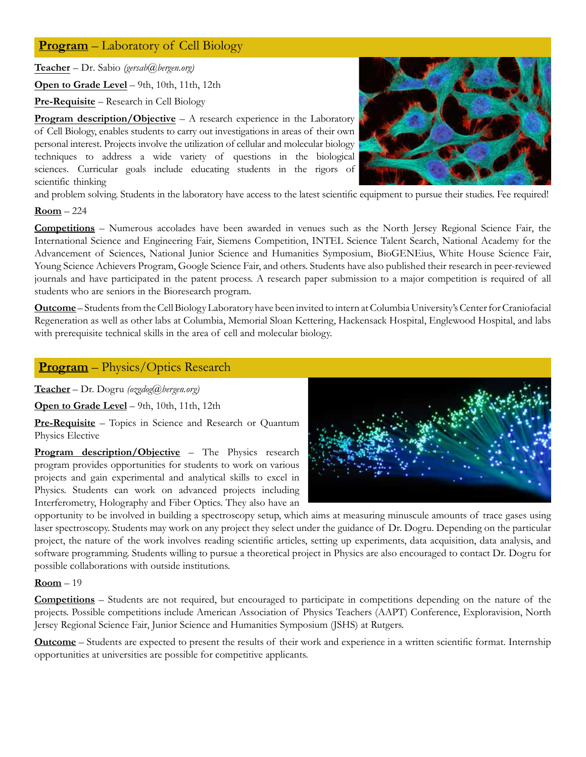# **Program** – Laboratory of Cell Biology

**Teacher** – Dr. Sabio *(gersab@bergen.org)* 

**Open to Grade Level** – 9th, 10th, 11th, 12th

**Pre-Requisite** – Research in Cell Biology

**Program description/Objective** – A research experience in the Laboratory of Cell Biology, enables students to carry out investigations in areas of their own personal interest. Projects involve the utilization of cellular and molecular biology techniques to address a wide variety of questions in the biological sciences. Curricular goals include educating students in the rigors of scientific thinking



and problem solving. Students in the laboratory have access to the latest scientific equipment to pursue their studies. Fee required!

## **Room** – 224

**Competitions** – Numerous accolades have been awarded in venues such as the North Jersey Regional Science Fair, the International Science and Engineering Fair, Siemens Competition, INTEL Science Talent Search, National Academy for the Advancement of Sciences, National Junior Science and Humanities Symposium, BioGENEius, White House Science Fair, Young Science Achievers Program, Google Science Fair, and others. Students have also published their research in peer-reviewed journals and have participated in the patent process. A research paper submission to a major competition is required of all students who are seniors in the Bioresearch program.

**Outcome** – Students from the Cell Biology Laboratory have been invited to intern at Columbia University's Center for Craniofacial Regeneration as well as other labs at Columbia, Memorial Sloan Kettering, Hackensack Hospital, Englewood Hospital, and labs with prerequisite technical skills in the area of cell and molecular biology.

## **Program** – Physics/Optics Research

**Teacher** – Dr. Dogru *(ozgdog@bergen.org)*

**Open to Grade Level** – 9th, 10th, 11th, 12th

**Pre-Requisite** – Topics in Science and Research or Quantum Physics Elective

**Program description/Objective** – The Physics research program provides opportunities for students to work on various projects and gain experimental and analytical skills to excel in Physics. Students can work on advanced projects including Interferometry, Holography and Fiber Optics. They also have an



opportunity to be involved in building a spectroscopy setup, which aims at measuring minuscule amounts of trace gases using laser spectroscopy. Students may work on any project they select under the guidance of Dr. Dogru. Depending on the particular project, the nature of the work involves reading scientific articles, setting up experiments, data acquisition, data analysis, and software programming. Students willing to pursue a theoretical project in Physics are also encouraged to contact Dr. Dogru for possible collaborations with outside institutions.

## **Room** – 19

**Competitions** – Students are not required, but encouraged to participate in competitions depending on the nature of the projects. Possible competitions include American Association of Physics Teachers (AAPT) Conference, Exploravision, North Jersey Regional Science Fair, Junior Science and Humanities Symposium (JSHS) at Rutgers.

**Outcome** – Students are expected to present the results of their work and experience in a written scientific format. Internship opportunities at universities are possible for competitive applicants.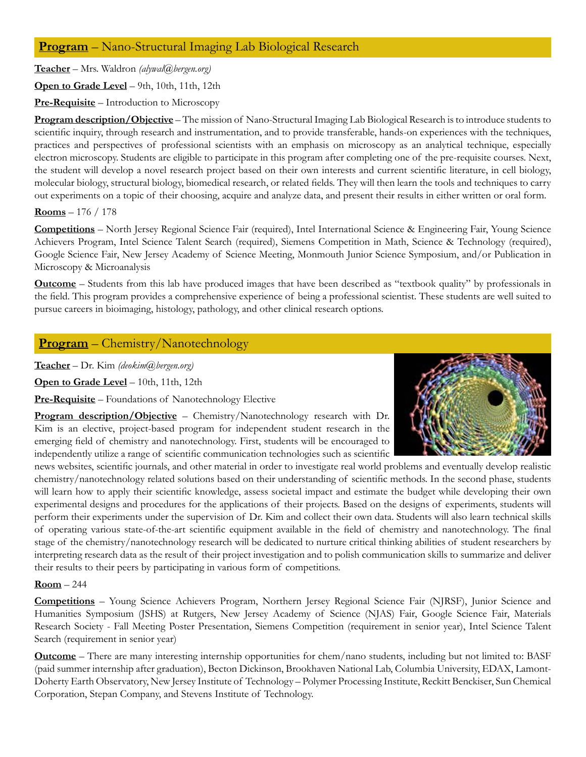## **Program** – Nano-Structural Imaging Lab Biological Research

**Teacher** – Mrs. Waldron *(alywal@bergen.org)*

**Open to Grade Level** – 9th, 10th, 11th, 12th

**Pre-Requisite** – Introduction to Microscopy

**Program description/Objective** – The mission of Nano-Structural Imaging Lab Biological Research is to introduce students to scientific inquiry, through research and instrumentation, and to provide transferable, hands-on experiences with the techniques, practices and perspectives of professional scientists with an emphasis on microscopy as an analytical technique, especially electron microscopy. Students are eligible to participate in this program after completing one of the pre-requisite courses. Next, the student will develop a novel research project based on their own interests and current scientific literature, in cell biology, molecular biology, structural biology, biomedical research, or related fields. They will then learn the tools and techniques to carry out experiments on a topic of their choosing, acquire and analyze data, and present their results in either written or oral form.

**Rooms** – 176 / 178

**Competitions** – North Jersey Regional Science Fair (required), Intel International Science & Engineering Fair, Young Science Achievers Program, Intel Science Talent Search (required), Siemens Competition in Math, Science & Technology (required), Google Science Fair, New Jersey Academy of Science Meeting, Monmouth Junior Science Symposium, and/or Publication in Microscopy & Microanalysis

**Outcome** – Students from this lab have produced images that have been described as "textbook quality" by professionals in the field. This program provides a comprehensive experience of being a professional scientist. These students are well suited to pursue careers in bioimaging, histology, pathology, and other clinical research options.

# **Program** – Chemistry/Nanotechnology

**Teacher** – Dr. Kim *(deokim@bergen.org)*

**Open to Grade Level** – 10th, 11th, 12th

**Pre-Requisite** – Foundations of Nanotechnology Elective

**Program description/Objective** – Chemistry/Nanotechnology research with Dr. Kim is an elective, project-based program for independent student research in the emerging field of chemistry and nanotechnology. First, students will be encouraged to independently utilize a range of scientific communication technologies such as scientific



news websites, scientific journals, and other material in order to investigate real world problems and eventually develop realistic chemistry/nanotechnology related solutions based on their understanding of scientific methods. In the second phase, students will learn how to apply their scientific knowledge, assess societal impact and estimate the budget while developing their own experimental designs and procedures for the applications of their projects. Based on the designs of experiments, students will perform their experiments under the supervision of Dr. Kim and collect their own data. Students will also learn technical skills of operating various state-of-the-art scientific equipment available in the field of chemistry and nanotechnology. The final stage of the chemistry/nanotechnology research will be dedicated to nurture critical thinking abilities of student researchers by interpreting research data as the result of their project investigation and to polish communication skills to summarize and deliver their results to their peers by participating in various form of competitions.

## **Room** – 244

**Competitions** – Young Science Achievers Program, Northern Jersey Regional Science Fair (NJRSF), Junior Science and Humanities Symposium (JSHS) at Rutgers, New Jersey Academy of Science (NJAS) Fair, Google Science Fair, Materials Research Society - Fall Meeting Poster Presentation, Siemens Competition (requirement in senior year), Intel Science Talent Search (requirement in senior year)

**Outcome** – There are many interesting internship opportunities for chem/nano students, including but not limited to: BASF (paid summer internship after graduation), Becton Dickinson, Brookhaven National Lab, Columbia University, EDAX, Lamont-Doherty Earth Observatory, New Jersey Institute of Technology – Polymer Processing Institute, Reckitt Benckiser, Sun Chemical Corporation, Stepan Company, and Stevens Institute of Technology.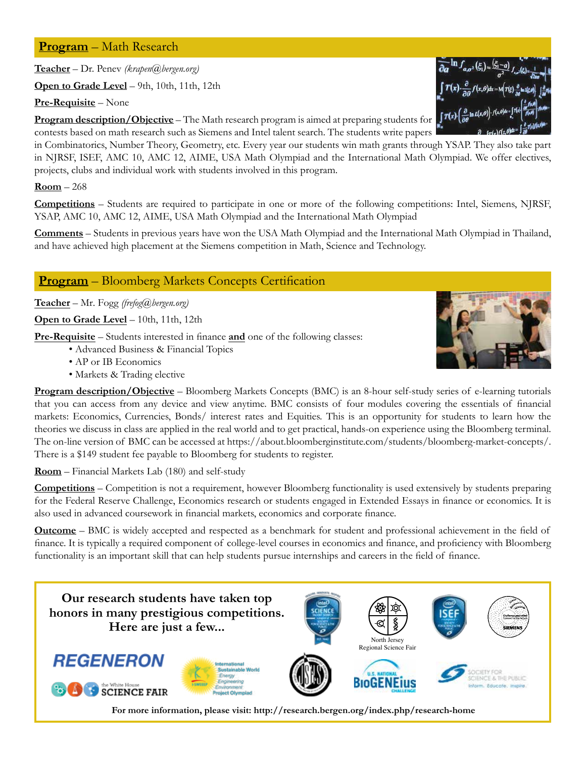# **Program** – Math Research

**Teacher** – Dr. Penev *(krapen@bergen.org)*

**Open to Grade Level** – 9th, 10th, 11th, 12th

**Pre-Requisite** – None

**Program description/Objective** – The Math research program is aimed at preparing students for contests based on math research such as Siemens and Intel talent search. The students write papers

in Combinatorics, Number Theory, Geometry, etc. Every year our students win math grants through YSAP. They also take part in NJRSF, ISEF, AMC 10, AMC 12, AIME, USA Math Olympiad and the International Math Olympiad. We offer electives, projects, clubs and individual work with students involved in this program.

**Room** – 268

**Competitions** – Students are required to participate in one or more of the following competitions: Intel, Siemens, NJRSF, YSAP, AMC 10, AMC 12, AIME, USA Math Olympiad and the International Math Olympiad

**Comments** – Students in previous years have won the USA Math Olympiad and the International Math Olympiad in Thailand, and have achieved high placement at the Siemens competition in Math, Science and Technology.

# **Program** – Bloomberg Markets Concepts Certification

**Teacher** – Mr. Fogg *(frefog@bergen.org)*

**Open to Grade Level** – 10th, 11th, 12th

**Pre-Requisite** – Students interested in finance **and** one of the following classes:

- Advanced Business & Financial Topics
- AP or IB Economics
- Markets & Trading elective

**Program description/Objective** – Bloomberg Markets Concepts (BMC) is an 8-hour self-study series of e-learning tutorials that you can access from any device and view anytime. BMC consists of four modules covering the essentials of financial markets: Economics, Currencies, Bonds/ interest rates and Equities. This is an opportunity for students to learn how the theories we discuss in class are applied in the real world and to get practical, hands-on experience using the Bloomberg terminal. The on-line version of BMC can be accessed at https://about.bloomberginstitute.com/students/bloomberg-market-concepts/. There is a \$149 student fee payable to Bloomberg for students to register.

**Room** – Financial Markets Lab (180) and self-study

**Competitions** – Competition is not a requirement, however Bloomberg functionality is used extensively by students preparing for the Federal Reserve Challenge, Economics research or students engaged in Extended Essays in finance or economics. It is also used in advanced coursework in financial markets, economics and corporate finance.

**Outcome** – BMC is widely accepted and respected as a benchmark for student and professional achievement in the field of finance. It is typically a required component of college-level courses in economics and finance, and proficiency with Bloomberg functionality is an important skill that can help students pursue internships and careers in the field of finance.



**For more information, please visit: http://research.bergen.org/index.php/research-home**